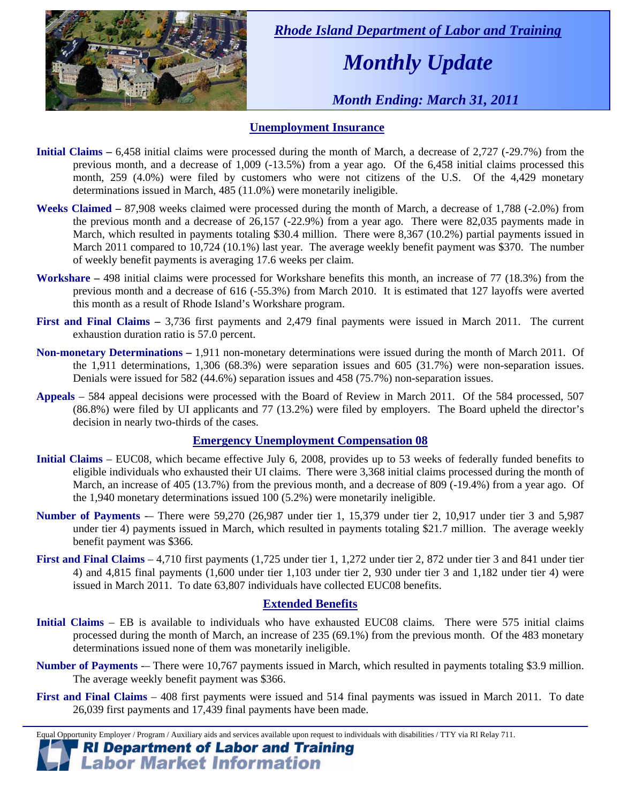

 *Rhode Island Department of Labor and Training* 

# *Monthly Update*

 *Month Ending: March 31, 2011* 

### **Unemployment Insurance**

- **Initial Claims** 6,458 initial claims were processed during the month of March, a decrease of 2,727 (-29.7%) from the previous month, and a decrease of 1,009 (-13.5%) from a year ago. Of the 6,458 initial claims processed this month, 259 (4.0%) were filed by customers who were not citizens of the U.S. Of the 4,429 monetary determinations issued in March, 485 (11.0%) were monetarily ineligible.
- **Weeks Claimed** 87,908 weeks claimed were processed during the month of March, a decrease of 1,788 (-2.0%) from the previous month and a decrease of 26,157 (-22.9%) from a year ago. There were 82,035 payments made in March, which resulted in payments totaling \$30.4 million. There were 8,367 (10.2%) partial payments issued in March 2011 compared to 10,724 (10.1%) last year. The average weekly benefit payment was \$370. The number of weekly benefit payments is averaging 17.6 weeks per claim.
- **Workshare –** 498 initial claims were processed for Workshare benefits this month, an increase of 77 (18.3%) from the previous month and a decrease of 616 (-55.3%) from March 2010. It is estimated that 127 layoffs were averted this month as a result of Rhode Island's Workshare program.
- **First and Final Claims –** 3,736 first payments and 2,479 final payments were issued in March 2011. The current exhaustion duration ratio is 57.0 percent.
- **Non-monetary Determinations –** 1,911 non-monetary determinations were issued during the month of March 2011. Of the 1,911 determinations, 1,306 (68.3%) were separation issues and 605 (31.7%) were non-separation issues. Denials were issued for 582 (44.6%) separation issues and 458 (75.7%) non-separation issues.
- **Appeals** 584 appeal decisions were processed with the Board of Review in March 2011. Of the 584 processed, 507 (86.8%) were filed by UI applicants and 77 (13.2%) were filed by employers. The Board upheld the director's decision in nearly two-thirds of the cases.

#### **Emergency Unemployment Compensation 08**

- **Initial Claims**  EUC08, which became effective July 6, 2008, provides up to 53 weeks of federally funded benefits to eligible individuals who exhausted their UI claims. There were 3,368 initial claims processed during the month of March, an increase of 405 (13.7%) from the previous month, and a decrease of 809 (-19.4%) from a year ago. Of the 1,940 monetary determinations issued  $100$  (5.2%) were monetarily ineligible.
- **Number of Payments** -– There were 59,270 (26,987 under tier 1, 15,379 under tier 2, 10,917 under tier 3 and 5,987 under tier 4) payments issued in March, which resulted in payments totaling \$21.7 million. The average weekly benefit payment was \$366.
- **First and Final Claims**  4,710 first payments (1,725 under tier 1, 1,272 under tier 2, 872 under tier 3 and 841 under tier 4) and 4,815 final payments (1,600 under tier 1,103 under tier 2, 930 under tier 3 and 1,182 under tier 4) were issued in March 2011. To date 63,807 individuals have collected EUC08 benefits.

#### **Extended Benefits**

- **Initial Claims**  EB is available to individuals who have exhausted EUC08 claims. There were 575 initial claims processed during the month of March, an increase of 235 (69.1%) from the previous month. Of the 483 monetary determinations issued none of them was monetarily ineligible.
- **Number of Payments** -– There were 10,767 payments issued in March, which resulted in payments totaling \$3.9 million. The average weekly benefit payment was \$366.
- **First and Final Claims**  408 first payments were issued and 514 final payments was issued in March 2011. To date 26,039 first payments and 17,439 final payments have been made.

Equal Opportunity Employer / Program / Auxiliary aids and services available upon request to individuals with disabilities / TTY via RI Relay 711. **RI Department of Labor and Training** 

## **Labor Market Information**